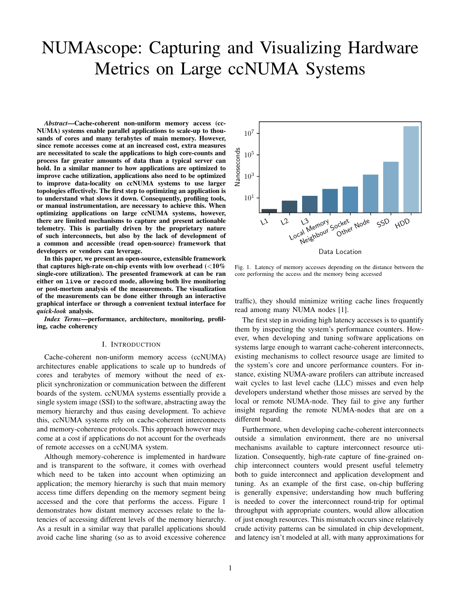# NUMAscope: Capturing and Visualizing Hardware Metrics on Large ccNUMA Systems

*Abstract*—Cache-coherent non-uniform memory access (cc-NUMA) systems enable parallel applications to scale-up to thousands of cores and many terabytes of main memory. However, since remote accesses come at an increased cost, extra measures are necessitated to scale the applications to high core-counts and process far greater amounts of data than a typical server can hold. In a similar manner to how applications are optimized to improve cache utilization, applications also need to be optimized to improve data-locality on ccNUMA systems to use larger topologies effectively. The first step to optimizing an application is to understand what slows it down. Consequently, profiling tools, or manual instrumentation, are necessary to achieve this. When optimizing applications on large ccNUMA systems, however, there are limited mechanisms to capture and present actionable telemetry. This is partially driven by the proprietary nature of such interconnects, but also by the lack of development of a common and accessible (read open-source) framework that developers or vendors can leverage.

In this paper, we present an open-source, extensible framework that captures high-rate on-chip events with low overhead  $\langle$  <10% single-core utilization). The presented framework at can be ran either on **live** or **record** mode, allowing both live monitoring or post-mortem analysis of the measurements. The visualization of the measurements can be done either through an interactive graphical interface or through a convenient textual interface for *quick-look* analysis.

*Index Terms*—performance, architecture, monitoring, profiling, cache coherency

#### I. INTRODUCTION

Cache-coherent non-uniform memory access (ccNUMA) architectures enable applications to scale up to hundreds of cores and terabytes of memory without the need of explicit synchronization or communication between the different boards of the system. ccNUMA systems essentially provide a single system image (SSI) to the software, abstracting away the memory hierarchy and thus easing development. To achieve this, ccNUMA systems rely on cache-coherent interconnects and memory-coherence protocols. This approach however may come at a cost if applications do not account for the overheads of remote accesses on a ccNUMA system.

Although memory-coherence is implemented in hardware and is transparent to the software, it comes with overhead which need to be taken into account when optimizing an application; the memory hierarchy is such that main memory access time differs depending on the memory segment being accessed and the core that performs the access. Figure 1 demonstrates how distant memory accesses relate to the latencies of accessing different levels of the memory hierarchy. As a result in a similar way that parallel applications should avoid cache line sharing (so as to avoid excessive coherence



Fig. 1. Latency of memory accesses depending on the distance between the core performing the access and the memory being accessed

traffic), they should minimize writing cache lines frequently read among many NUMA nodes [1].

The first step in avoiding high latency accesses is to quantify them by inspecting the system's performance counters. However, when developing and tuning software applications on systems large enough to warrant cache-coherent interconnects, existing mechanisms to collect resource usage are limited to the system's core and uncore performance counters. For instance, existing NUMA-aware profilers can attribute increased wait cycles to last level cache (LLC) misses and even help developers understand whether those misses are served by the local or remote NUMA-node. They fail to give any further insight regarding the remote NUMA-nodes that are on a different board.

Furthermore, when developing cache-coherent interconnects outside a simulation environment, there are no universal mechanisms available to capture interconnect resource utilization. Consequently, high-rate capture of fine-grained onchip interconnect counters would present useful telemetry both to guide interconnect and application development and tuning. As an example of the first case, on-chip buffering is generally expensive; understanding how much buffering is needed to cover the interconnect round-trip for optimal throughput with appropriate counters, would allow allocation of just enough resources. This mismatch occurs since relatively crude activity patterns can be simulated in chip development, and latency isn't modeled at all, with many approximations for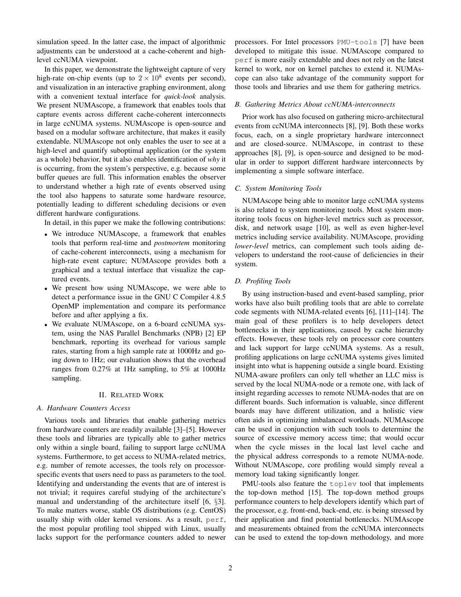simulation speed. In the latter case, the impact of algorithmic adjustments can be understood at a cache-coherent and highlevel ccNUMA viewpoint.

In this paper, we demonstrate the lightweight capture of very high-rate on-chip events (up to  $2 \times 10^8$  events per second), and visualization in an interactive graphing environment, along with a convenient textual interface for *quick-look* analysis. We present NUMAscope, a framework that enables tools that capture events across different cache-coherent interconnects in large ccNUMA systems. NUMAscope is open-source and based on a modular software architecture, that makes it easily extendable. NUMAscope not only enables the user to see at a high-level and quantify suboptimal application (or the system as a whole) behavior, but it also enables identification of *why* it is occurring, from the system's perspective, e.g. because some buffer queues are full. This information enables the observer to understand whether a high rate of events observed using the tool also happens to saturate some hardware resource, potentially leading to different scheduling decisions or even different hardware configurations.

In detail, in this paper we make the following contributions:

- We introduce NUMAscope, a framework that enables tools that perform real-time and *postmortem* monitoring of cache-coherent interconnects, using a mechanism for high-rate event capture; NUMAscope provides both a graphical and a textual interface that visualize the captured events.
- We present how using NUMAscope, we were able to detect a performance issue in the GNU C Compiler 4.8.5 OpenMP implementation and compare its performance before and after applying a fix.
- We evaluate NUMAscope, on a 6-board ccNUMA system, using the NAS Parallel Benchmarks (NPB) [2] EP benchmark, reporting its overhead for various sample rates, starting from a high sample rate at 1000Hz and going down to 1Hz; our evaluation shows that the overhead ranges from 0.27% at 1Hz sampling, to 5% at 1000Hz sampling.

# II. RELATED WORK

# *A. Hardware Counters Access*

Various tools and libraries that enable gathering metrics from hardware counters are readily available [3]–[5]. However these tools and libraries are typically able to gather metrics only within a single board, failing to support large ccNUMA systems. Furthermore, to get access to NUMA-related metrics, e.g. number of remote accesses, the tools rely on processorspecific events that users need to pass as parameters to the tool. Identifying and understanding the events that are of interest is not trivial; it requires careful studying of the architecture's manual and understanding of the architecture itself [6, §3]. To make matters worse, stable OS distributions (e.g. CentOS) usually ship with older kernel versions. As a result, perf, the most popular profiling tool shipped with Linux, usually lacks support for the performance counters added to newer processors. For Intel processors PMU-tools [7] have been developed to mitigate this issue. NUMAscope compared to perf is more easily extendable and does not rely on the latest kernel to work, nor on kernel patches to extend it. NUMAscope can also take advantage of the community support for those tools and libraries and use them for gathering metrics.

# *B. Gathering Metrics About ccNUMA-interconnects*

Prior work has also focused on gathering micro-architectural events from ccNUMA interconnects [8], [9]. Both these works focus, each, on a single proprietary hardware interconnect and are closed-source. NUMAscope, in contrast to these approaches [8], [9], is open-source and designed to be modular in order to support different hardware interconnects by implementing a simple software interface.

# *C. System Monitoring Tools*

NUMAscope being able to monitor large ccNUMA systems is also related to system monitoring tools. Most system monitoring tools focus on higher-level metrics such as processor, disk, and network usage [10], as well as even higher-level metrics including service availability. NUMAscope, providing *lower-level* metrics, can complement such tools aiding developers to understand the root-cause of deficiencies in their system.

# *D. Profiling Tools*

By using instruction-based and event-based sampling, prior works have also built profiling tools that are able to correlate code segments with NUMA-related events [6], [11]–[14]. The main goal of these profilers is to help developers detect bottlenecks in their applications, caused by cache hierarchy effects. However, these tools rely on processor core counters and lack support for large ccNUMA systems. As a result, profiling applications on large ccNUMA systems gives limited insight into what is happening outside a single board. Existing NUMA-aware profilers can only tell whether an LLC miss is served by the local NUMA-node or a remote one, with lack of insight regarding accesses to remote NUMA-nodes that are on different boards. Such information is valuable, since different boards may have different utilization, and a holistic view often aids in optimizing imbalanced workloads. NUMAscope can be used in conjunction with such tools to determine the source of excessive memory access time; that would occur when the cycle misses in the local last level cache and the physical address corresponds to a remote NUMA-node. Without NUMAscope, core profiling would simply reveal a memory load taking significantly longer.

PMU-tools also feature the toplev tool that implements the top-down method [15]. The top-down method groups performance counters to help developers identify which part of the processor, e.g. front-end, back-end, etc. is being stressed by their application and find potential bottlenecks. NUMAscope and measurements obtained from the ccNUMA interconnects can be used to extend the top-down methodology, and more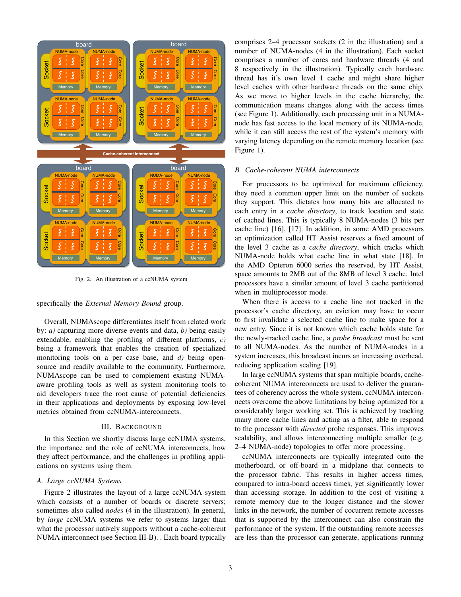

Fig. 2. An illustration of a ccNUMA system

#### specifically the *External Memory Bound* group.

Overall, NUMAscope differentiates itself from related work by: *a)* capturing more diverse events and data, *b)* being easily extendable, enabling the profiling of different platforms, *c)* being a framework that enables the creation of specialized monitoring tools on a per case base, and *d)* being opensource and readily available to the community. Furthermore, NUMAscope can be used to complement existing NUMAaware profiling tools as well as system monitoring tools to aid developers trace the root cause of potential deficiencies in their applications and deployments by exposing low-level metrics obtained from ccNUMA-interconnects.

# III. BACKGROUND

In this Section we shortly discuss large ccNUMA systems, the importance and the role of ccNUMA interconnects, how they affect performance, and the challenges in profiling applications on systems using them.

# *A. Large ccNUMA Systems*

Figure 2 illustrates the layout of a large ccNUMA system which consists of a number of boards or discrete servers; sometimes also called *nodes* (4 in the illustration). In general, by *large* ccNUMA systems we refer to systems larger than what the processor natively supports without a cache-coherent NUMA interconnect (see Section III-B). . Each board typically

comprises 2–4 processor sockets (2 in the illustration) and a number of NUMA-nodes (4 in the illustration). Each socket comprises a number of cores and hardware threads (4 and 8 respectively in the illustration). Typically each hardware thread has it's own level 1 cache and might share higher level caches with other hardware threads on the same chip. As we move to higher levels in the cache hierarchy, the communication means changes along with the access times (see Figure 1). Additionally, each processing unit in a NUMAnode has fast access to the local memory of its NUMA-node, while it can still access the rest of the system's memory with varying latency depending on the remote memory location (see Figure 1).

# *B. Cache-coherent NUMA interconnects*

For processors to be optimized for maximum efficiency, they need a common upper limit on the number of sockets they support. This dictates how many bits are allocated to each entry in a *cache directory*, to track location and state of cached lines. This is typically 8 NUMA-nodes (3 bits per cache line) [16], [17]. In addition, in some AMD processors an optimization called HT Assist reserves a fixed amount of the level 3 cache as a *cache directory*, which tracks which NUMA-node holds what cache line in what state [18]. In the AMD Opteron 6000 series the reserved, by HT Assist, space amounts to 2MB out of the 8MB of level 3 cache. Intel processors have a similar amount of level 3 cache partitioned when in multiprocessor mode.

When there is access to a cache line not tracked in the processor's cache directory, an eviction may have to occur to first invalidate a selected cache line to make space for a new entry. Since it is not known which cache holds state for the newly-tracked cache line, a *probe broadcast* must be sent to all NUMA-nodes. As the number of NUMA-nodes in a system increases, this broadcast incurs an increasing overhead, reducing application scaling [19].

In large ccNUMA systems that span multiple boards, cachecoherent NUMA interconnects are used to deliver the guarantees of coherency across the whole system. ccNUMA interconnects overcome the above limitations by being optimized for a considerably larger working set. This is achieved by tracking many more cache lines and acting as a filter, able to respond to the processor with *directed* probe responses. This improves scalability, and allows interconnecting multiple smaller (e.g. 2–4 NUMA-node) topologies to offer more processing.

ccNUMA interconnects are typically integrated onto the motherboard, or off-board in a midplane that connects to the processor fabric. This results in higher access times, compared to intra-board access times, yet significantly lower than accessing storage. In addition to the cost of visiting a remote memory due to the longer distance and the slower links in the network, the number of cocurrent remote accesses that is supported by the interconnect can also constrain the performance of the system. If the outstanding remote accesses are less than the processor can generate, applications running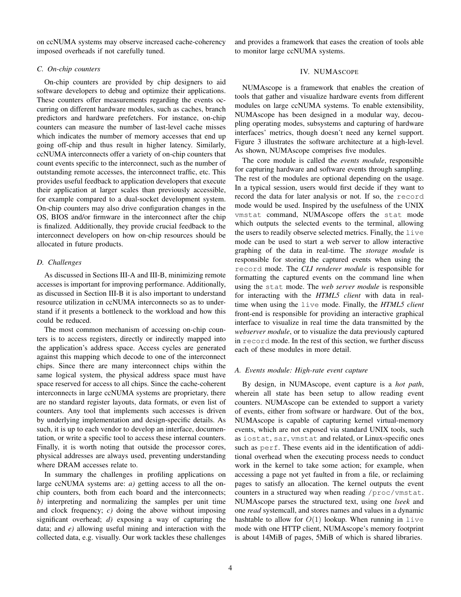on ccNUMA systems may observe increased cache-coherency imposed overheads if not carefully tuned.

and provides a framework that eases the creation of tools able to monitor large ccNUMA systems.

#### *C. On-chip counters*

On-chip counters are provided by chip designers to aid software developers to debug and optimize their applications. These counters offer measurements regarding the events occurring on different hardware modules, such as caches, branch predictors and hardware prefetchers. For instance, on-chip counters can measure the number of last-level cache misses which indicates the number of memory accesses that end up going off-chip and thus result in higher latency. Similarly, ccNUMA interconnects offer a variety of on-chip counters that count events specific to the interconnect, such as the number of outstanding remote accesses, the interconnect traffic, etc. This provides useful feedback to application developers that execute their application at larger scales than previously accessible, for example compared to a dual-socket development system. On-chip counters may also drive configuration changes in the OS, BIOS and/or firmware in the interconnect after the chip is finalized. Additionally, they provide crucial feedback to the interconnect developers on how on-chip resources should be allocated in future products.

# *D. Challenges*

As discussed in Sections III-A and III-B, minimizing remote accesses is important for improving performance. Additionally, as discussed in Section III-B it is also important to understand resource utilization in ccNUMA interconnects so as to understand if it presents a bottleneck to the workload and how this could be reduced.

The most common mechanism of accessing on-chip counters is to access registers, directly or indirectly mapped into the application's address space. Access cycles are generated against this mapping which decode to one of the interconnect chips. Since there are many interconnect chips within the same logical system, the physical address space must have space reserved for access to all chips. Since the cache-coherent interconnects in large ccNUMA systems are proprietary, there are no standard register layouts, data formats, or even list of counters. Any tool that implements such accesses is driven by underlying implementation and design-specific details. As such, it is up to each vendor to develop an interface, documentation, or write a specific tool to access these internal counters. Finally, it is worth noting that outside the processor cores, physical addresses are always used, preventing understanding where DRAM accesses relate to.

In summary the challenges in profiling applications on large ccNUMA systems are: *a)* getting access to all the onchip counters, both from each board and the interconnects; *b)* interpreting and normalizing the samples per unit time and clock frequency; *c)* doing the above without imposing significant overhead; *d)* exposing a way of capturing the data; and *e)* allowing useful mining and interaction with the collected data, e.g. visually. Our work tackles these challenges

# IV. NUMASCOPE

NUMAscope is a framework that enables the creation of tools that gather and visualize hardware events from different modules on large ccNUMA systems. To enable extensibility, NUMAscope has been designed in a modular way, decoupling operating modes, subsystems and capturing of hardware interfaces' metrics, though doesn't need any kernel support. Figure 3 illustrates the software architecture at a high-level. As shown, NUMAscope comprises five modules.

The core module is called the *events module*, responsible for capturing hardware and software events through sampling. The rest of the modules are optional depending on the usage. In a typical session, users would first decide if they want to record the data for later analysis or not. If so, the record mode would be used. Inspired by the usefulness of the UNIX vmstat command, NUMAscope offers the stat mode which outputs the selected events to the terminal, allowing the users to readily observe selected metrics. Finally, the live mode can be used to start a web server to allow interactive graphing of the data in real-time. The *storage module* is responsible for storing the captured events when using the record mode. The *CLI renderer module* is responsible for formatting the captured events on the command line when using the stat mode. The *web server module* is responsible for interacting with the *HTML5 client* with data in realtime when using the live mode. Finally, the *HTML5 client* front-end is responsible for providing an interactive graphical interface to visualize in real time the data transmitted by the *webserver module*, or to visualize the data previously captured in record mode. In the rest of this section, we further discuss each of these modules in more detail.

# *A. Events module: High-rate event capture*

By design, in NUMAscope, event capture is a *hot path*, wherein all state has been setup to allow reading event counters. NUMAscope can be extended to support a variety of events, either from software or hardware. Out of the box, NUMAscope is capable of capturing kernel virtual-memory events, which are not exposed via standard UNIX tools, such as iostat, sar, vmstat and related, or Linux-specific ones such as perf. These events aid in the identification of additional overhead when the executing process needs to conduct work in the kernel to take some action; for example, when accessing a page not yet faulted in from a file, or reclaiming pages to satisfy an allocation. The kernel outputs the event counters in a structured way when reading /proc/vmstat. NUMAscope parses the structured text, using one *lseek* and one *read* systemcall, and stores names and values in a dynamic hashtable to allow for  $O(1)$  lookup. When running in live mode with one HTTP client, NUMAscope's memory footprint is about 14MiB of pages, 5MiB of which is shared libraries.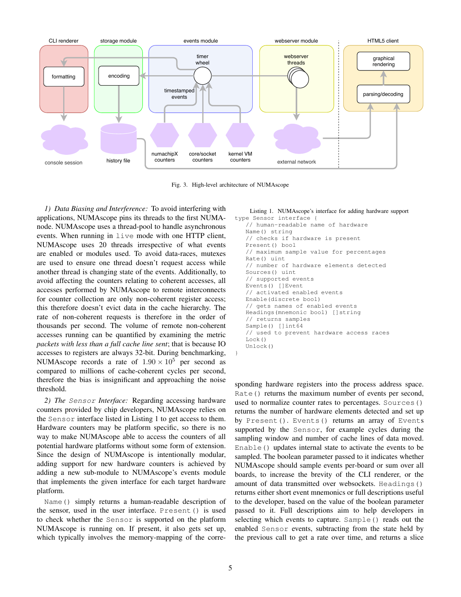

Fig. 3. High-level architecture of NUMAscope

}

*1) Data Biasing and Interference:* To avoid interfering with applications, NUMAscope pins its threads to the first NUMAnode. NUMAscope uses a thread-pool to handle asynchronous events. When running in live mode with one HTTP client, NUMAscope uses 20 threads irrespective of what events are enabled or modules used. To avoid data-races, mutexes are used to ensure one thread doesn't request access while another thread is changing state of the events. Additionally, to avoid affecting the counters relating to coherent accesses, all accesses performed by NUMAscope to remote interconnects for counter collection are only non-coherent register access; this therefore doesn't evict data in the cache hierarchy. The rate of non-coherent requests is therefore in the order of thousands per second. The volume of remote non-coherent accesses running can be quantified by examining the metric *packets with less than a full cache line sent*; that is because IO accesses to registers are always 32-bit. During benchmarking, NUMAscope records a rate of  $1.90 \times 10^5$  per second as compared to millions of cache-coherent cycles per second, therefore the bias is insignificant and approaching the noise threshold.

*2) The* Sensor *Interface:* Regarding accessing hardware counters provided by chip developers, NUMAscope relies on the Sensor interface listed in Listing 1 to get access to them. Hardware counters may be platform specific, so there is no way to make NUMAscope able to access the counters of all potential hardware platforms without some form of extension. Since the design of NUMAscope is intentionally modular, adding support for new hardware counters is achieved by adding a new sub-module to NUMAscope's events module that implements the given interface for each target hardware platform.

Name() simply returns a human-readable description of the sensor, used in the user interface. Present() is used to check whether the Sensor is supported on the platform NUMAscope is running on. If present, it also gets set up, which typically involves the memory-mapping of the correListing 1. NUMAscope's interface for adding hardware support

```
type Sensor interface {
   // human-readable name of hardware
   Name() string
   // checks if hardware is present
   Present() bool
   // maximum sample value for percentages
   Rate() uint
   // number of hardware elements detected
   Sources() uint
   // supported events
   Events() []Event
   // activated enabled events
   Enable(discrete bool)
   // gets names of enabled events
   Headings(mnemonic bool) []string
   // returns samples
   Sample() []int64
   // used to prevent hardware access races
   Lock()
   Unlock()
```
sponding hardware registers into the process address space. Rate() returns the maximum number of events per second, used to normalize counter rates to percentages. Sources() returns the number of hardware elements detected and set up by Present(). Events() returns an array of Events supported by the Sensor, for example cycles during the sampling window and number of cache lines of data moved. Enable() updates internal state to activate the events to be sampled. The boolean parameter passed to it indicates whether NUMAscope should sample events per-board or sum over all boards, to increase the brevity of the CLI renderer, or the amount of data transmitted over websockets. Headings() returns either short event mnemonics or full descriptions useful to the developer, based on the value of the boolean parameter passed to it. Full descriptions aim to help developers in selecting which events to capture. Sample() reads out the enabled Sensor events, subtracting from the state held by the previous call to get a rate over time, and returns a slice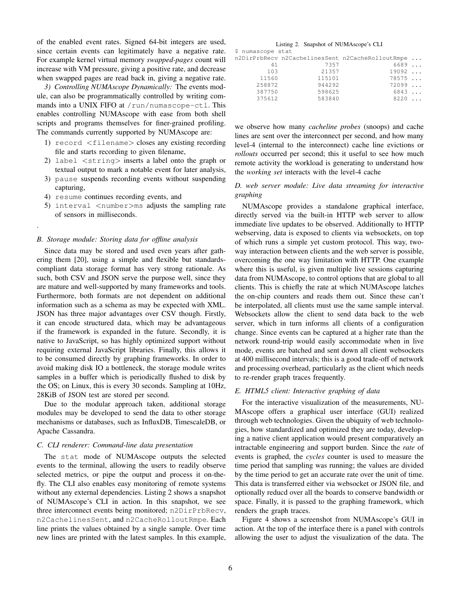of the enabled event rates. Signed 64-bit integers are used, since certain events can legitimately have a negative rate. For example kernel virtual memory *swapped-pages* count will increase with VM pressure, giving a positive rate, and decrease when swapped pages are read back in, giving a negative rate.

*3) Controlling NUMAscope Dynamically:* The events module, can also be programmatically controlled by writing commands into a UNIX FIFO at /run/numascope-ctl. This enables controlling NUMAscope with ease from both shell scripts and programs themselves for finer-grained profiling. The commands currently supported by NUMAscope are:

- 1) record <filename> closes any existing recording file and starts recording to given filename,
- 2) label <string> inserts a label onto the graph or textual output to mark a notable event for later analysis,
- 3) pause suspends recording events without suspending capturing,
- 4) resume continues recording events, and

.

5) interval <number>ms adjusts the sampling rate of sensors in milliseconds.

# *B. Storage module: Storing data for offline analysis*

Since data may be stored and used even years after gathering them [20], using a simple and flexible but standardscompliant data storage format has very strong rationale. As such, both CSV and JSON serve the purpose well, since they are mature and well-supported by many frameworks and tools. Furthermore, both formats are not dependent on additional information such as a schema as may be expected with XML. JSON has three major advantages over CSV though. Firstly, it can encode structured data, which may be advantageous if the framework is expanded in the future. Secondly, it is native to JavaScript, so has highly optimized support without requiring external JavaScript libraries. Finally, this allows it to be consumed directly by graphing frameworks. In order to avoid making disk IO a bottleneck, the storage module writes samples in a buffer which is periodically flushed to disk by the OS; on Linux, this is every 30 seconds. Sampling at 10Hz, 28KiB of JSON test are stored per second.

Due to the modular approach taken, additional storage modules may be developed to send the data to other storage mechanisms or databases, such as InfluxDB, TimescaleDB, or Apache Cassandra.

#### *C. CLI renderer: Command-line data presentation*

The stat mode of NUMAscope outputs the selected events to the terminal, allowing the users to readily observe selected metrics, or pipe the output and process it on-thefly. The CLI also enables easy monitoring of remote systems without any external dependencies. Listing 2 shows a snapshot of NUMAscope's CLI in action. In this snapshot, we see three interconnect events being monitored; n2DirPrbRecv, n2CachelinesSent, and n2CacheRolloutRmpe. Each line prints the values obtained by a single sample. Over time new lines are printed with the latest samples. In this example,

#### Listing 2. Snapshot of NUMAscope's CLI

| S<br>numascope stat |  |
|---------------------|--|
|---------------------|--|

|        |        | n2DirPrbRecv n2CachelinesSent n2CacheRolloutRmpe |  |
|--------|--------|--------------------------------------------------|--|
| 41     | 7357   | 6689                                             |  |
| 103    | 21357  | 19092                                            |  |
| 11560  | 115101 | 78575                                            |  |
| 258872 | 944292 | 72099                                            |  |
| 387750 | 598625 | 6843                                             |  |
| 375612 | 583840 | 8220                                             |  |

we observe how many *cacheline probes* (snoops) and cache lines are sent over the interconnect per second, and how many level-4 (internal to the interconnect) cache line evictions or *rollouts* occurred per second; this it useful to see how much remote activity the workload is generating to understand how the *working set* interacts with the level-4 cache

# *D. web server module: Live data streaming for interactive graphing*

NUMAscope provides a standalone graphical interface, directly served via the built-in HTTP web server to allow immediate live updates to be observed. Additionally to HTTP webserving, data is exposed to clients via websockets, on top of which runs a simple yet custom protocol. This way, twoway interaction between clients and the web server is possible, overcoming the one way limitation with HTTP. One example where this is useful, is given multiple live sessions capturing data from NUMAscope, to control options that are global to all clients. This is chiefly the rate at which NUMAscope latches the on-chip counters and reads them out. Since these can't be interpolated, all clients must use the same sample interval. Websockets allow the client to send data back to the web server, which in turn informs all clients of a configuration change. Since events can be captured at a higher rate than the network round-trip would easily accommodate when in live mode, events are batched and sent down all client websockets at 400 millisecond intervals; this is a good trade-off of network and processing overhead, particularly as the client which needs to re-render graph traces frequently.

#### *E. HTML5 client: Interactive graphing of data*

For the interactive visualization of the measurements, NU-MAscope offers a graphical user interface (GUI) realized through web technologies. Given the ubiquity of web technologies, how standardized and optimized they are today, developing a native client application would present comparatively an intractable engineering and support burden. Since the *rate* of events is graphed, the *cycles* counter is used to measure the time period that sampling was running; the values are divided by the time period to get an accurate rate over the unit of time. This data is transferred either via websocket or JSON file, and optionally reducd over all the boards to conserve bandwidth or space. Finally, it is passed to the graphing framework, which renders the graph traces.

Figure 4 shows a screenshot from NUMAscope's GUI in action. At the top of the interface there is a panel with controls allowing the user to adjust the visualization of the data. The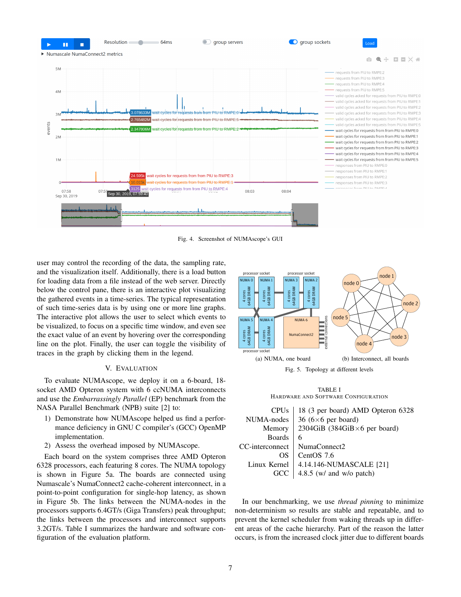

Fig. 4. Screenshot of NUMAscope's GUI

user may control the recording of the data, the sampling rate, and the visualization itself. Additionally, there is a load button for loading data from a file instead of the web server. Directly below the control pane, there is an interactive plot visualizing the gathered events in a time-series. The typical representation of such time-series data is by using one or more line graphs. The interactive plot allows the user to select which events to be visualized, to focus on a specific time window, and even see the exact value of an event by hovering over the corresponding line on the plot. Finally, the user can toggle the visibility of traces in the graph by clicking them in the legend.

# V. EVALUATION

To evaluate NUMAscope, we deploy it on a 6-board, 18 socket AMD Opteron system with 6 ccNUMA interconnects and use the *Embarrassingly Parallel* (EP) benchmark from the NASA Parallel Benchmark (NPB) suite [2] to:

- 1) Demonstrate how NUMAscope helped us find a performance deficiency in GNU C compiler's (GCC) OpenMP implementation.
- 2) Assess the overhead imposed by NUMAscope.

Each board on the system comprises three AMD Opteron 6328 processors, each featuring 8 cores. The NUMA topology is shown in Figure 5a. The boards are connected using Numascale's NumaConnect2 cache-coherent interconnect, in a point-to-point configuration for single-hop latency, as shown in Figure 5b. The links between the NUMA-nodes in the processors supports 6.4GT/s (Giga Transfers) peak throughput; the links between the processors and interconnect supports 3.2GT/s. Table I summarizes the hardware and software configuration of the evaluation platform.



TABLE I HARDWARE AND SOFTWARE CONFIGURATION

| <b>CPU<sub>s</sub></b> | 18 (3 per board) AMD Opteron 6328     |
|------------------------|---------------------------------------|
| NUMA-nodes             | 36 ( $6 \times 6$ per board)          |
| Memory                 | 2304GiB (384GiB $\times$ 6 per board) |
| <b>Boards</b>          | 6                                     |
| CC-interconnect        | NumaConnect2                          |
| OS                     | Cent $OS$ 7.6                         |
| Linux Kernel           | 4.14.146-NUMASCALE [21]               |
| GCC                    | 4.8.5 (w/ and w/o patch)              |

In our benchmarking, we use *thread pinning* to minimize non-determinism so results are stable and repeatable, and to prevent the kernel scheduler from waking threads up in different areas of the cache hierarchy. Part of the reason the latter occurs, is from the increased clock jitter due to different boards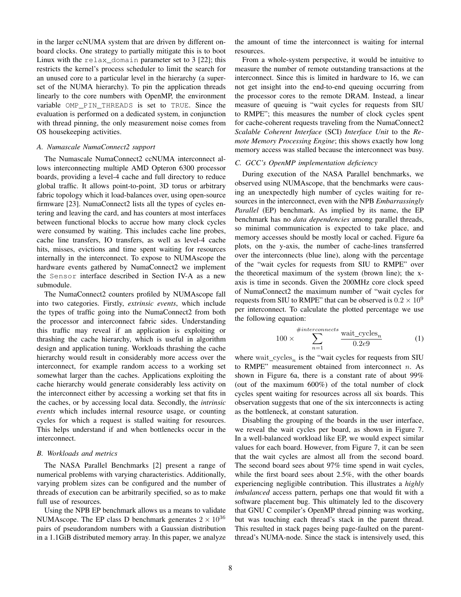in the larger ccNUMA system that are driven by different onboard clocks. One strategy to partially mitigate this is to boot Linux with the relax\_domain parameter set to 3 [22]; this restricts the kernel's process scheduler to limit the search for an unused core to a particular level in the hierarchy (a superset of the NUMA hierarchy). To pin the application threads linearly to the core numbers with OpenMP, the environment variable OMP\_PIN\_THREADS is set to TRUE. Since the evaluation is performed on a dedicated system, in conjunction with thread pinning, the only measurement noise comes from OS housekeeping activities.

# *A. Numascale NumaConnect2 support*

The Numascale NumaConnect2 ccNUMA interconnect allows interconnecting multiple AMD Opteron 6300 processor boards, providing a level-4 cache and full directory to reduce global traffic. It allows point-to-point, 3D torus or arbitrary fabric topology which it load-balances over, using open-source firmware [23]. NumaConnect2 lists all the types of cycles entering and leaving the card, and has counters at most interfaces between functional blocks to accrue how many clock cycles were consumed by waiting. This includes cache line probes, cache line transfers, IO transfers, as well as level-4 cache hits, misses, evictions and time spent waiting for resources internally in the interconnect. To expose to NUMAscope the hardware events gathered by NumaConnect2 we implement the Sensor interface described in Section IV-A as a new submodule.

The NumaConnect2 counters profiled by NUMAscope fall into two categories. Firstly, *extrinsic events*, which include the types of traffic going into the NumaConnect2 from both the processor and interconnect fabric sides. Understanding this traffic may reveal if an application is exploiting or thrashing the cache hierarchy, which is useful in algorithm design and application tuning. Workloads thrashing the cache hierarchy would result in considerably more access over the interconnect, for example random access to a working set somewhat larger than the caches. Applications exploiting the cache hierarchy would generate considerably less activity on the interconnect either by accessing a working set that fits in the caches, or by accessing local data. Secondly, the *intrinsic events* which includes internal resource usage, or counting cycles for which a request is stalled waiting for resources. This helps understand if and when bottlenecks occur in the interconnect.

# *B. Workloads and metrics*

The NASA Parallel Benchmarks [2] present a range of numerical problems with varying characteristics. Additionally, varying problem sizes can be configured and the number of threads of execution can be arbitrarily specified, so as to make full use of resources.

Using the NPB EP benchmark allows us a means to validate NUMAscope. The EP class D benchmark generates  $2 \times 10^{36}$ pairs of pseudorandom numbers with a Gaussian distribution in a 1.1GiB distributed memory array. In this paper, we analyze

the amount of time the interconnect is waiting for internal resources.

From a whole-system perspective, it would be intuitive to measure the number of remote outstanding transactions at the interconnect. Since this is limited in hardware to 16, we can not get insight into the end-to-end queuing occurring from the processor cores to the remote DRAM. Instead, a linear measure of queuing is "wait cycles for requests from SIU to RMPE"; this measures the number of clock cycles spent for cache-coherent requests traveling from the NumaConnect2 *Scalable Coherent Interface* (SCI) *Interface Unit* to the *Remote Memory Processing Engine*; this shows exactly how long memory access was stalled because the interconnect was busy.

# *C. GCC's OpenMP implementation deficiency*

During execution of the NASA Parallel benchmarks, we observed using NUMAscope, that the benchmarks were causing an unexpectedly high number of cycles waiting for resources in the interconnect, even with the NPB *Embarrassingly Parallel* (EP) benchmark. As implied by its name, the EP benchmark has no *data dependencies* among parallel threads, so minimal communication is expected to take place, and memory accesses should be mostly local or cached. Figure 6a plots, on the y-axis, the number of cache-lines transferred over the interconnects (blue line), along with the percentage of the "wait cycles for requests from SIU to RMPE" over the theoretical maximum of the system (brown line); the xaxis is time in seconds. Given the 200MHz core clock speed of NumaConnect2 the maximum number of "wait cycles for requests from SIU to RMPE" that can be observed is  $0.2 \times 10^9$ per interconnect. To calculate the plotted percentage we use the following equation:

$$
100 \times \sum_{n=1}^{\#interconnects} \frac{\text{wait\_cycles}_n}{0.2e9} \tag{1}
$$

where wait  $\text{cycles}_n$  is the "wait cycles for requests from SIU to RMPE" measurement obtained from interconnect  $n$ . As shown in Figure 6a, there is a constant rate of about 99% (out of the maximum 600%) of the total number of clock cycles spent waiting for resources across all six boards. This observation suggests that one of the six interconnects is acting as the bottleneck, at constant saturation.

Disabling the grouping of the boards in the user interface, we reveal the wait cycles per board, as shown in Figure 7. In a well-balanced workload like EP, we would expect similar values for each board. However, from Figure 7, it can be seen that the wait cycles are almost all from the second board. The second board sees about 97% time spend in wait cycles, while the first board sees about 2.5%, with the other boards experiencing negligible contribution. This illustrates a *highly imbalanced* access pattern, perhaps one that would fit with a software placement bug. This ultimately led to the discovery that GNU C compiler's OpenMP thread pinning was working, but was touching each thread's stack in the parent thread. This resulted in stack pages being page-faulted on the parentthread's NUMA-node. Since the stack is intensively used, this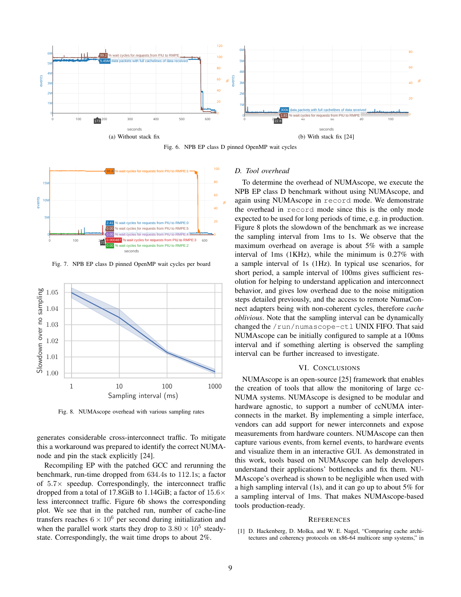

Fig. 6. NPB EP class D pinned OpenMP wait cycles



Fig. 7. NPB EP class D pinned OpenMP wait cycles per board



Fig. 8. NUMAscope overhead with various sampling rates

generates considerable cross-interconnect traffic. To mitigate this a workaround was prepared to identify the correct NUMAnode and pin the stack explicitly [24].

Recompiling EP with the patched GCC and rerunning the benchmark, run-time dropped from 634.4s to 112.1s; a factor of  $5.7\times$  speedup. Correspondingly, the interconnect traffic dropped from a total of 17.8GiB to 1.14GiB; a factor of  $15.6\times$ less interconnect traffic. Figure 6b shows the corresponding plot. We see that in the patched run, number of cache-line transfers reaches  $6 \times 10^6$  per second during initialization and when the parallel work starts they drop to  $3.80 \times 10^5$  steadystate. Correspondingly, the wait time drops to about 2%.

# *D. Tool overhead*

To determine the overhead of NUMAscope, we execute the NPB EP class D benchmark without using NUMAscope, and again using NUMAscope in record mode. We demonstrate the overhead in record mode since this is the only mode expected to be used for long periods of time, e.g. in production. Figure 8 plots the slowdown of the benchmark as we increase the sampling interval from 1ms to 1s. We observe that the maximum overhead on average is about 5% with a sample interval of 1ms (1KHz), while the minimum is 0.27% with a sample interval of 1s (1Hz). In typical use scenarios, for short period, a sample interval of 100ms gives sufficient resolution for helping to understand application and interconnect behavior, and gives low overhead due to the noise mitigation steps detailed previously, and the access to remote NumaConnect adapters being with non-coherent cycles, therefore *cache oblivious*. Note that the sampling interval can be dynamically changed the /run/numascope-ctl UNIX FIFO. That said NUMAscope can be initially configured to sample at a 100ms interval and if something alerting is observed the sampling interval can be further increased to investigate.

# VI. CONCLUSIONS

NUMAscope is an open-source [25] framework that enables the creation of tools that allow the monitoring of large cc-NUMA systems. NUMAscope is designed to be modular and hardware agnostic, to support a number of ccNUMA interconnects in the market. By implementing a simple interface, vendors can add support for newer interconnets and expose measurements from hardware counters. NUMAscope can then capture various events, from kernel events, to hardware events and visualize them in an interactive GUI. As demonstrated in this work, tools based on NUMAscope can help developers understand their applications' bottlenecks and fix them. NU-MAscope's overhead is shown to be negligible when used with a high sampling interval (1s), and it can go up to about 5% for a sampling interval of 1ms. That makes NUMAscope-based tools production-ready.

#### **REFERENCES**

[1] D. Hackenberg, D. Molka, and W. E. Nagel, "Comparing cache architectures and coherency protocols on x86-64 multicore smp systems," in